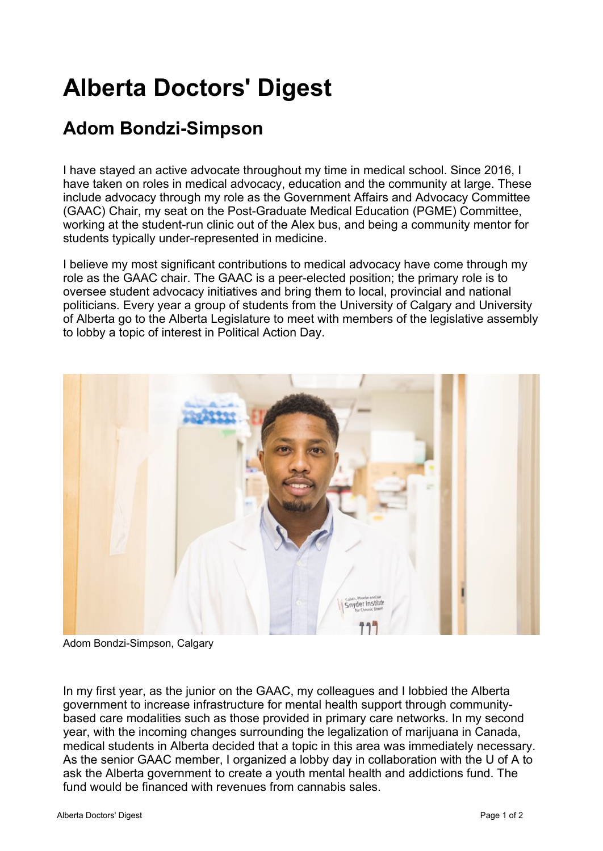## **Alberta Doctors' Digest**

## **[Adom Bondzi-Simpson](http://add.albertadoctors.org/issues/march-april-2019/adom-bondzi-simpson/)**

I have stayed an active advocate throughout my time in medical school. Since 2016, I have taken on roles in medical advocacy, education and the community at large. These include advocacy through my role as the Government Affairs and Advocacy Committee (GAAC) Chair, my seat on the Post-Graduate Medical Education (PGME) Committee, working at the student-run clinic out of the Alex bus, and being a community mentor for students typically under-represented in medicine.

I believe my most significant contributions to medical advocacy have come through my role as the GAAC chair. The GAAC is a peer-elected position; the primary role is to oversee student advocacy initiatives and bring them to local, provincial and national politicians. Every year a group of students from the University of Calgary and University of Alberta go to the Alberta Legislature to meet with members of the legislative assembly to lobby a topic of interest in Political Action Day.



Adom Bondzi-Simpson, Calgary

In my first year, as the junior on the GAAC, my colleagues and I lobbied the Alberta government to increase infrastructure for mental health support through communitybased care modalities such as those provided in primary care networks. In my second year, with the incoming changes surrounding the legalization of marijuana in Canada, medical students in Alberta decided that a topic in this area was immediately necessary. As the senior GAAC member, I organized a lobby day in collaboration with the U of A to ask the Alberta government to create a youth mental health and addictions fund. The fund would be financed with revenues from cannabis sales.